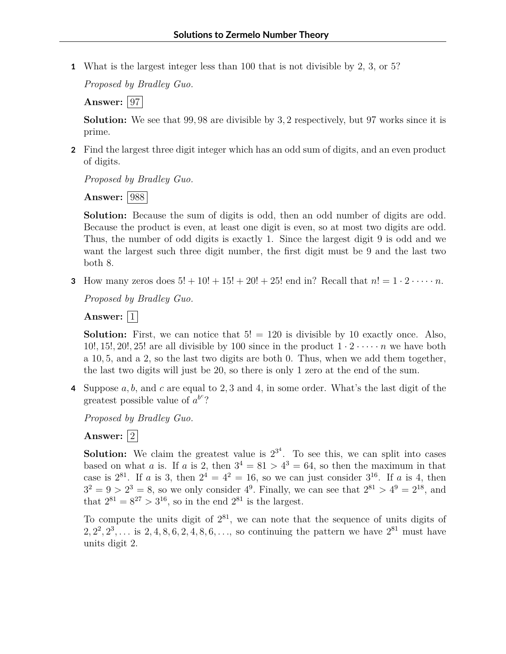**1** What is the largest integer less than 100 that is not divisible by 2, 3, or 5?

*Proposed by Bradley Guo.*

**Answer:** 97

**Solution:** We see that 99*,* 98 are divisible by 3*,* 2 respectively, but 97 works since it is prime.

**2** Find the largest three digit integer which has an odd sum of digits, and an even product of digits.

*Proposed by Bradley Guo.*

**Answer:** 988

**Solution:** Because the sum of digits is odd, then an odd number of digits are odd. Because the product is even, at least one digit is even, so at most two digits are odd. Thus, the number of odd digits is exactly 1. Since the largest digit 9 is odd and we want the largest such three digit number, the first digit must be 9 and the last two both 8.

**3** How many zeros does  $5! + 10! + 15! + 20! + 25!$  end in? Recall that  $n! = 1 \cdot 2 \cdot \cdots \cdot n$ .

*Proposed by Bradley Guo.*

Answer:  $|1|$ 

**Solution:** First, we can notice that  $5! = 120$  is divisible by 10 exactly once. Also, 10!, 15!, 20!, 25! are all divisible by 100 since in the product  $1 \cdot 2 \cdot \cdot \cdot \cdot n$  we have both a 10*,* 5*,* and a 2, so the last two digits are both 0. Thus, when we add them together, the last two digits will just be 20, so there is only 1 zero at the end of the sum.

**4** Suppose *a, b,* and *c* are equal to 2*,* 3 and 4, in some order. What's the last digit of the greatest possible value of  $a^{b^c}$ ?

*Proposed by Bradley Guo.*

Answer:  $|2|$ 

**Solution:** We claim the greatest value is  $2^{3^4}$ . To see this, we can split into cases based on what *a* is. If *a* is 2, then  $3^4 = 81 > 4^3 = 64$ , so then the maximum in that case is  $2^{81}$ . If *a* is 3, then  $2^4 = 4^2 = 16$ , so we can just consider  $3^{16}$ . If *a* is 4, then  $3^2 = 9 > 2^3 = 8$ , so we only consider  $4^9$ . Finally, we can see that  $2^{81} > 4^9 = 2^{18}$ , and that  $2^{81} = 8^{27} > 3^{16}$ , so in the end  $2^{81}$  is the largest.

To compute the units digit of  $2^{81}$ , we can note that the sequence of units digits of  $2, 2^2, 2^3, \ldots$  is  $2, 4, 8, 6, 2, 4, 8, 6, \ldots$ , so continuing the pattern we have  $2^{81}$  must have units digit 2.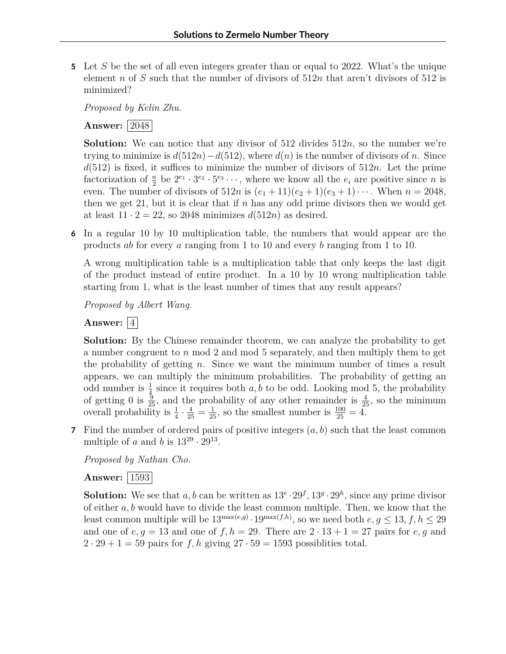**5** Let *S* be the set of all even integers greater than or equal to 2022. What's the unique element *n* of *S* such that the number of divisors of 512*n* that aren't divisors of 512 is minimized?

*Proposed by Kelin Zhu.*

## **Answer:** 2048

**Solution:** We can notice that any divisor of 512 divides 512*n*, so the number we're trying to minimize is  $d(512n)-d(512)$ , where  $d(n)$  is the number of divisors of *n*. Since  $d(512)$  is fixed, it suffices to minimize the number of divisors of  $512n$ . Let the prime factorization of  $\frac{n}{2}$  be  $2^{e_1} \cdot 3^{e_2} \cdot 5^{e_3} \cdots$ , where we know all the  $e_i$  are positive since *n* is even. The number of divisors of  $512n$  is  $(e_1 + 11)(e_2 + 1)(e_3 + 1) \cdots$ . When  $n = 2048$ , then we get 21, but it is clear that if *n* has any odd prime divisors then we would get at least  $11 \cdot 2 = 22$ , so 2048 minimizes  $d(512n)$  as desired.

**6** In a regular 10 by 10 multiplication table, the numbers that would appear are the products *ab* for every *a* ranging from 1 to 10 and every *b* ranging from 1 to 10.

A wrong multiplication table is a multiplication table that only keeps the last digit of the product instead of entire product. In a 10 by 10 wrong multiplication table starting from 1, what is the least number of times that any result appears?

*Proposed by Albert Wang.*

## Answer:  $\vert 4 \vert$

**Solution:** By the Chinese remainder theorem, we can analyze the probability to get a number congruent to *n* mod 2 and mod 5 separately, and then multiply them to get the probability of getting *n*. Since we want the minimum number of times a result appears, we can multiply the minimum probabilities. The probability of getting an odd number is  $\frac{1}{4}$  since it requires both *a*, *b* to be odd. Looking mod 5, the probability of getting 0 is  $\frac{9}{25}$ , and the probability of any other remainder is  $\frac{4}{25}$ , so the minimum overall probability is  $\frac{1}{4} \cdot \frac{4}{25} = \frac{1}{25}$ , so the smallest number is  $\frac{100}{25} = 4$ .

**7** Find the number of ordered pairs of positive integers (*a, b*) such that the least common multiple of *a* and *b* is  $13^{29} \cdot 29^{13}$ .

*Proposed by Nathan Cho.*

## **Answer:** 1593

**Solution:** We see that  $a, b$  can be written as  $13^e \cdot 29^f$ ,  $13^g \cdot 29^h$ , since any prime divisor of either *a, b* would have to divide the least common multiple. Then, we know that the least common multiple will be  $13^{\max(e,g)} \cdot 19^{\max(f,h)}$ , so we need both  $e, g \leq 13, f, h \leq 29$ and one of  $e, g = 13$  and one of  $f, h = 29$ . There are  $2 \cdot 13 + 1 = 27$  pairs for  $e, g$  and  $2 \cdot 29 + 1 = 59$  pairs for *f, h* giving  $27 \cdot 59 = 1593$  possiblities total.